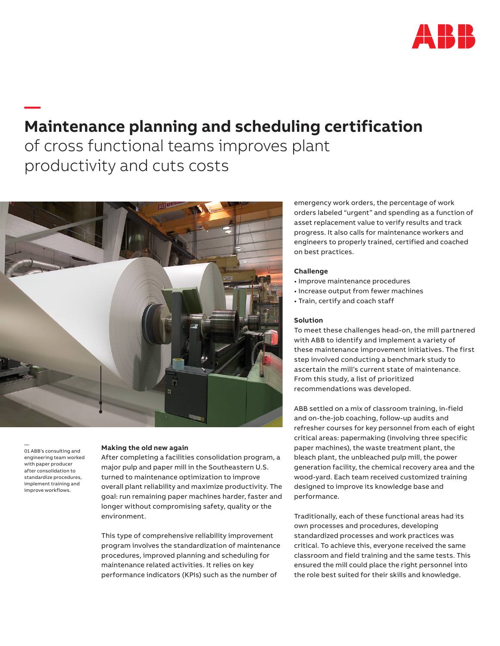

# **Maintenance planning and scheduling certification**  of cross functional teams improves plant productivity and cuts costs



— 01 ABB's consulting and engineering team worked with paper producer after consolidation to standardize procedures, implement training and improve workflows.

**—** 

# **Making the old new again**

After completing a facilities consolidation program, a major pulp and paper mill in the Southeastern U.S. turned to maintenance optimization to improve overall plant reliability and maximize productivity. The goal: run remaining paper machines harder, faster and longer without compromising safety, quality or the environment.

This type of comprehensive reliability improvement program involves the standardization of maintenance procedures, improved planning and scheduling for maintenance related activities. It relies on key performance indicators (KPIs) such as the number of

emergency work orders, the percentage of work orders labeled "urgent" and spending as a function of asset replacement value to verify results and track progress. It also calls for maintenance workers and engineers to properly trained, certified and coached on best practices.

## **Challenge**

- Improve maintenance procedures
- Increase output from fewer machines
- Train, certify and coach staff

#### **Solution**

To meet these challenges head-on, the mill partnered with ABB to identify and implement a variety of these maintenance improvement initiatives. The first step involved conducting a benchmark study to ascertain the mill's current state of maintenance. From this study, a list of prioritized recommendations was developed.

ABB settled on a mix of classroom training, in-field and on-the-job coaching, follow-up audits and refresher courses for key personnel from each of eight critical areas: papermaking (involving three specific paper machines), the waste treatment plant, the bleach plant, the unbleached pulp mill, the power generation facility, the chemical recovery area and the wood-yard. Each team received customized training designed to improve its knowledge base and performance.

Traditionally, each of these functional areas had its own processes and procedures, developing standardized processes and work practices was critical. To achieve this, everyone received the same classroom and field training and the same tests. This ensured the mill could place the right personnel into the role best suited for their skills and knowledge.